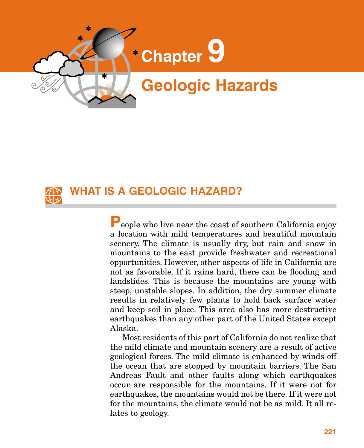

# **WHAT IS A GEOLOGIC HAZARD?**

**P**eople who live near the coast of southern California enjoy a location with mild temperatures and beautiful mountain scenery. The climate is usually dry, but rain and snow in mountains to the east provide freshwater and recreational opportunities. However, other aspects of life in California are not as favorable. If it rains hard, there can be flooding and landslides. This is because the mountains are young with steep, unstable slopes. In addition, the dry summer climate results in relatively few plants to hold back surface water and keep soil in place. This area also has more destructive earthquakes than any other part of the United States except Alaska.

Most residents of this part of California do not realize that the mild climate and mountain scenery are a result of active geological forces. The mild climate is enhanced by winds off the ocean that are stopped by mountain barriers. The San Andreas Fault and other faults along which earthquakes occur are responsible for the mountains. If it were not for earthquakes, the mountains would not be there. If it were not for the mountains, the climate would not be as mild. It all relates to geology.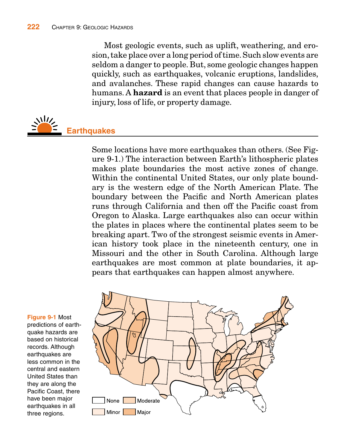Most geologic events, such as uplift, weathering, and erosion, take place over a long period of time. Such slow events are seldom a danger to people. But, some geologic changes happen quickly, such as earthquakes, volcanic eruptions, landslides, and avalanches. These rapid changes can cause hazards to humans. A **hazard** is an event that places people in danger of injury, loss of life, or property damage.



Some locations have more earthquakes than others. (See Figure 9-1.) The interaction between Earth's lithospheric plates makes plate boundaries the most active zones of change. Within the continental United States, our only plate boundary is the western edge of the North American Plate. The boundary between the Pacific and North American plates runs through California and then off the Pacific coast from Oregon to Alaska. Large earthquakes also can occur within the plates in places where the continental plates seem to be breaking apart. Two of the strongest seismic events in American history took place in the nineteenth century, one in Missouri and the other in South Carolina. Although large earthquakes are most common at plate boundaries, it appears that earthquakes can happen almost anywhere.

**Figure 9-1** Most predictions of earthquake hazards are based on historical records. Although earthquakes are less common in the central and eastern United States than they are along the Pacific Coast, there have been major earthquakes in all three regions.

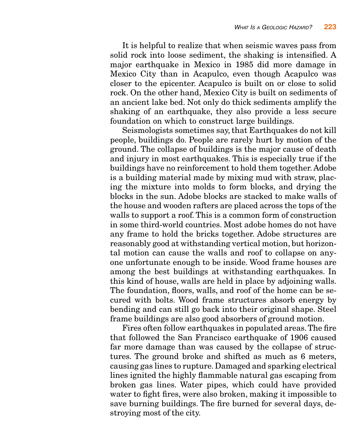It is helpful to realize that when seismic waves pass from solid rock into loose sediment, the shaking is intensified. A major earthquake in Mexico in 1985 did more damage in Mexico City than in Acapulco, even though Acapulco was closer to the epicenter. Acapulco is built on or close to solid rock. On the other hand, Mexico City is built on sediments of an ancient lake bed. Not only do thick sediments amplify the shaking of an earthquake, they also provide a less secure foundation on which to construct large buildings.

Seismologists sometimes say, that Earthquakes do not kill people, buildings do. People are rarely hurt by motion of the ground. The collapse of buildings is the major cause of death and injury in most earthquakes. This is especially true if the buildings have no reinforcement to hold them together. Adobe is a building material made by mixing mud with straw, placing the mixture into molds to form blocks, and drying the blocks in the sun. Adobe blocks are stacked to make walls of the house and wooden rafters are placed across the tops of the walls to support a roof. This is a common form of construction in some third-world countries. Most adobe homes do not have any frame to hold the bricks together. Adobe structures are reasonably good at withstanding vertical motion, but horizontal motion can cause the walls and roof to collapse on anyone unfortunate enough to be inside. Wood frame houses are among the best buildings at withstanding earthquakes. In this kind of house, walls are held in place by adjoining walls. The foundation, floors, walls, and roof of the home can be secured with bolts. Wood frame structures absorb energy by bending and can still go back into their original shape. Steel frame buildings are also good absorbers of ground motion.

Fires often follow earthquakes in populated areas. The fire that followed the San Francisco earthquake of 1906 caused far more damage than was caused by the collapse of structures. The ground broke and shifted as much as 6 meters, causing gas lines to rupture. Damaged and sparking electrical lines ignited the highly flammable natural gas escaping from broken gas lines. Water pipes, which could have provided water to fight fires, were also broken, making it impossible to save burning buildings. The fire burned for several days, destroying most of the city.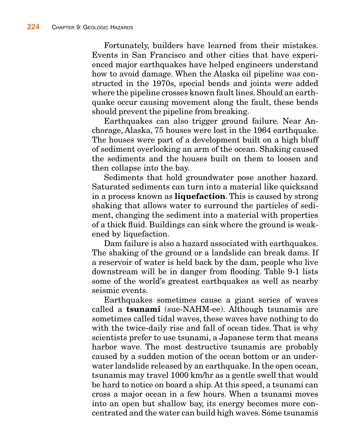Fortunately, builders have learned from their mistakes. Events in San Francisco and other cities that have experienced major earthquakes have helped engineers understand how to avoid damage. When the Alaska oil pipeline was constructed in the 1970s, special bends and joints were added where the pipeline crosses known fault lines. Should an earthquake occur causing movement along the fault, these bends should prevent the pipeline from breaking.

Earthquakes can also trigger ground failure. Near Anchorage, Alaska, 75 houses were lost in the 1964 earthquake. The houses were part of a development built on a high bluff of sediment overlooking an arm of the ocean. Shaking caused the sediments and the houses built on them to loosen and then collapse into the bay.

Sediments that hold groundwater pose another hazard. Saturated sediments can turn into a material like quicksand in a process known as **liquefaction**. This is caused by strong shaking that allows water to surround the particles of sediment, changing the sediment into a material with properties of a thick fluid. Buildings can sink where the ground is weakened by liquefaction.

Dam failure is also a hazard associated with earthquakes. The shaking of the ground or a landslide can break dams. If a reservoir of water is held back by the dam, people who live downstream will be in danger from flooding. Table 9-1 lists some of the world's greatest earthquakes as well as nearby seismic events.

Earthquakes sometimes cause a giant series of waves called a **tsunami** (sue-NAHM-ee). Although tsunamis are sometimes called tidal waves, these waves have nothing to do with the twice-daily rise and fall of ocean tides. That is why scientists prefer to use tsunami, a Japanese term that means harbor wave. The most destructive tsunamis are probably caused by a sudden motion of the ocean bottom or an underwater landslide released by an earthquake. In the open ocean, tsunamis may travel 1000 km/hr as a gentle swell that would be hard to notice on board a ship. At this speed, a tsunami can cross a major ocean in a few hours. When a tsunami moves into an open but shallow bay, its energy becomes more concentrated and the water can build high waves. Some tsunamis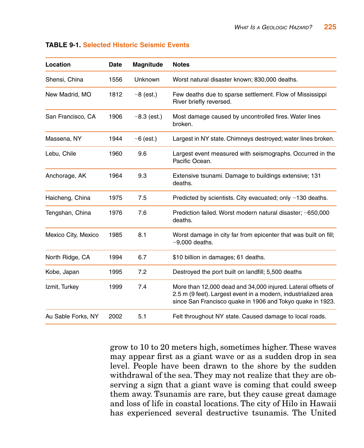| Location            | <b>Date</b> | Magnitude        | <b>Notes</b>                                                                                                                                                                                 |
|---------------------|-------------|------------------|----------------------------------------------------------------------------------------------------------------------------------------------------------------------------------------------|
| Shensi, China       | 1556        | <b>Unknown</b>   | Worst natural disaster known; 830,000 deaths.                                                                                                                                                |
| New Madrid, MO      | 1812        | $~\sim$ 8 (est.) | Few deaths due to sparse settlement. Flow of Mississippi<br>River briefly reversed.                                                                                                          |
| San Francisco, CA   | 1906        | $~8.3$ (est.)    | Most damage caused by uncontrolled fires. Water lines<br>broken.                                                                                                                             |
| Massena, NY         | 1944        | $~\sim$ 6 (est.) | Largest in NY state. Chimneys destroyed; water lines broken.                                                                                                                                 |
| Lebu, Chile         | 1960        | 9.6              | Largest event measured with seismographs. Occurred in the<br>Pacific Ocean.                                                                                                                  |
| Anchorage, AK       | 1964        | 9.3              | Extensive tsunami. Damage to buildings extensive; 131<br>deaths.                                                                                                                             |
| Haicheng, China     | 1975        | 7.5              | Predicted by scientists. City evacuated; only $\sim$ 130 deaths.                                                                                                                             |
| Tengshan, China     | 1976        | 7.6              | Prediction failed. Worst modern natural disaster; ~650,000<br>deaths.                                                                                                                        |
| Mexico City, Mexico | 1985        | 8.1              | Worst damage in city far from epicenter that was built on fill;<br>$\sim$ 9,000 deaths.                                                                                                      |
| North Ridge, CA     | 1994        | 6.7              | \$10 billion in damages; 61 deaths.                                                                                                                                                          |
| Kobe, Japan         | 1995        | 7.2              | Destroyed the port built on landfill; 5,500 deaths                                                                                                                                           |
| Izmit, Turkey       | 1999        | 7.4              | More than 12,000 dead and 34,000 injured. Lateral offsets of<br>2.5 m (9 feet). Largest event in a modern, industrialized area<br>since San Francisco quake in 1906 and Tokyo quake in 1923. |
| Au Sable Forks, NY  | 2002        | 5.1              | Felt throughout NY state. Caused damage to local roads.                                                                                                                                      |

#### **TABLE 9-1. Selected Historic Seismic Events**

grow to 10 to 20 meters high, sometimes higher. These waves may appear first as a giant wave or as a sudden drop in sea level. People have been drawn to the shore by the sudden withdrawal of the sea. They may not realize that they are observing a sign that a giant wave is coming that could sweep them away. Tsunamis are rare, but they cause great damage and loss of life in coastal locations. The city of Hilo in Hawaii has experienced several destructive tsunamis. The United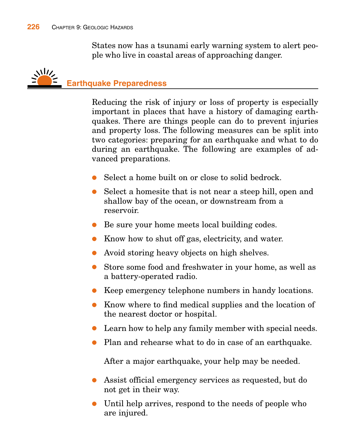States now has a tsunami early warning system to alert people who live in coastal areas of approaching danger.



Reducing the risk of injury or loss of property is especially important in places that have a history of damaging earthquakes. There are things people can do to prevent injuries and property loss. The following measures can be split into two categories: preparing for an earthquake and what to do during an earthquake. The following are examples of advanced preparations.

- Select a home built on or close to solid bedrock.
- Select a homesite that is not near a steep hill, open and shallow bay of the ocean, or downstream from a reservoir.
- Be sure your home meets local building codes.
- Know how to shut off gas, electricity, and water.
- Avoid storing heavy objects on high shelves.
- Store some food and freshwater in your home, as well as a battery-operated radio.
- Keep emergency telephone numbers in handy locations.
- Know where to find medical supplies and the location of the nearest doctor or hospital.
- Learn how to help any family member with special needs.
- Plan and rehearse what to do in case of an earthquake.

After a major earthquake, your help may be needed.

- Assist official emergency services as requested, but do not get in their way.
- Until help arrives, respond to the needs of people who are injured.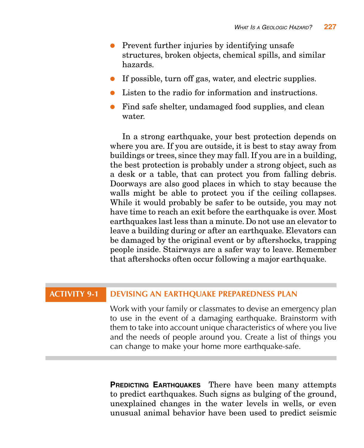- Prevent further injuries by identifying unsafe structures, broken objects, chemical spills, and similar hazards.
- If possible, turn off gas, water, and electric supplies.
- Listen to the radio for information and instructions.
- Find safe shelter, undamaged food supplies, and clean water.

In a strong earthquake, your best protection depends on where you are. If you are outside, it is best to stay away from buildings or trees, since they may fall. If you are in a building, the best protection is probably under a strong object, such as a desk or a table, that can protect you from falling debris. Doorways are also good places in which to stay because the walls might be able to protect you if the ceiling collapses. While it would probably be safer to be outside, you may not have time to reach an exit before the earthquake is over. Most earthquakes last less than a minute. Do not use an elevator to leave a building during or after an earthquake. Elevators can be damaged by the original event or by aftershocks, trapping people inside. Stairways are a safer way to leave. Remember that aftershocks often occur following a major earthquake.

#### **ACTIVITY 9-1 DEVISING AN EARTHQUAKE PREPAREDNESS PLAN**

Work with your family or classmates to devise an emergency plan to use in the event of a damaging earthquake. Brainstorm with them to take into account unique characteristics of where you live and the needs of people around you. Create a list of things you can change to make your home more earthquake-safe.

**PREDICTING EARTHQUAKES** There have been many attempts to predict earthquakes. Such signs as bulging of the ground, unexplained changes in the water levels in wells, or even unusual animal behavior have been used to predict seismic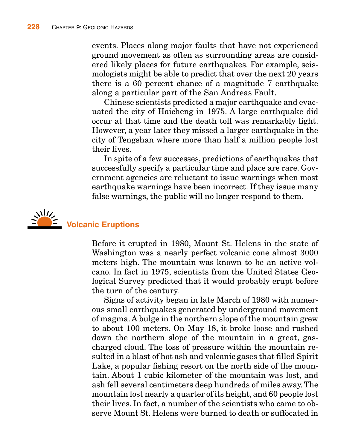events. Places along major faults that have not experienced ground movement as often as surrounding areas are considered likely places for future earthquakes. For example, seismologists might be able to predict that over the next 20 years there is a 60 percent chance of a magnitude 7 earthquake along a particular part of the San Andreas Fault.

Chinese scientists predicted a major earthquake and evacuated the city of Haicheng in 1975. A large earthquake did occur at that time and the death toll was remarkably light. However, a year later they missed a larger earthquake in the city of Tengshan where more than half a million people lost their lives.

In spite of a few successes, predictions of earthquakes that successfully specify a particular time and place are rare. Government agencies are reluctant to issue warnings when most earthquake warnings have been incorrect. If they issue many false warnings, the public will no longer respond to them.



Before it erupted in 1980, Mount St. Helens in the state of Washington was a nearly perfect volcanic cone almost 3000 meters high. The mountain was known to be an active volcano. In fact in 1975, scientists from the United States Geological Survey predicted that it would probably erupt before the turn of the century.

Signs of activity began in late March of 1980 with numerous small earthquakes generated by underground movement of magma.A bulge in the northern slope of the mountain grew to about 100 meters. On May 18, it broke loose and rushed down the northern slope of the mountain in a great, gascharged cloud. The loss of pressure within the mountain resulted in a blast of hot ash and volcanic gases that filled Spirit Lake, a popular fishing resort on the north side of the mountain. About 1 cubic kilometer of the mountain was lost, and ash fell several centimeters deep hundreds of miles away. The mountain lost nearly a quarter of its height, and 60 people lost their lives. In fact, a number of the scientists who came to observe Mount St. Helens were burned to death or suffocated in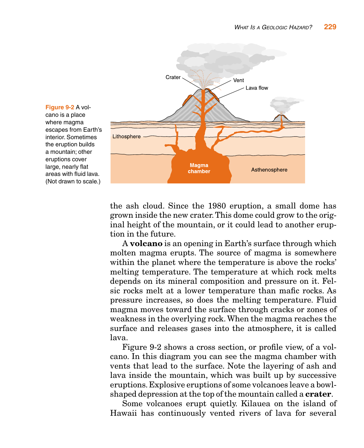

**Figure 9-2** A volcano is a place where magma escapes from Earth's interior. Sometimes the eruption builds a mountain; other eruptions cover large, nearly flat areas with fluid lava. (Not drawn to scale.)

> the ash cloud. Since the 1980 eruption, a small dome has grown inside the new crater. This dome could grow to the original height of the mountain, or it could lead to another eruption in the future.

> A **volcano** is an opening in Earth's surface through which molten magma erupts. The source of magma is somewhere within the planet where the temperature is above the rocks' melting temperature. The temperature at which rock melts depends on its mineral composition and pressure on it. Felsic rocks melt at a lower temperature than mafic rocks. As pressure increases, so does the melting temperature. Fluid magma moves toward the surface through cracks or zones of weakness in the overlying rock. When the magma reaches the surface and releases gases into the atmosphere, it is called lava.

> Figure 9-2 shows a cross section, or profile view, of a volcano. In this diagram you can see the magma chamber with vents that lead to the surface. Note the layering of ash and lava inside the mountain, which was built up by successive eruptions. Explosive eruptions of some volcanoes leave a bowlshaped depression at the top of the mountain called a **crater**.

> Some volcanoes erupt quietly. Kilauea on the island of Hawaii has continuously vented rivers of lava for several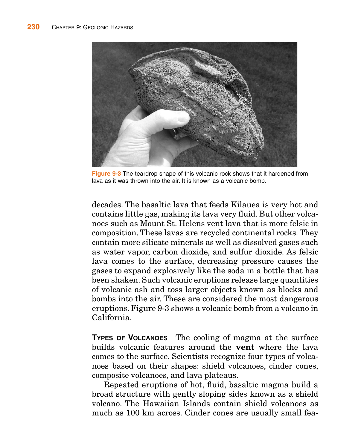

**Figure 9-3** The teardrop shape of this volcanic rock shows that it hardened from lava as it was thrown into the air. It is known as a volcanic bomb.

decades. The basaltic lava that feeds Kilauea is very hot and contains little gas, making its lava very fluid. But other volcanoes such as Mount St. Helens vent lava that is more felsic in composition. These lavas are recycled continental rocks. They contain more silicate minerals as well as dissolved gases such as water vapor, carbon dioxide, and sulfur dioxide. As felsic lava comes to the surface, decreasing pressure causes the gases to expand explosively like the soda in a bottle that has been shaken. Such volcanic eruptions release large quantities of volcanic ash and toss larger objects known as blocks and bombs into the air. These are considered the most dangerous eruptions. Figure 9-3 shows a volcanic bomb from a volcano in California.

**TYPES OF VOLCANOES** The cooling of magma at the surface builds volcanic features around the **vent** where the lava comes to the surface. Scientists recognize four types of volcanoes based on their shapes: shield volcanoes, cinder cones, composite volcanoes, and lava plateaus.

Repeated eruptions of hot, fluid, basaltic magma build a broad structure with gently sloping sides known as a shield volcano. The Hawaiian Islands contain shield volcanoes as much as 100 km across. Cinder cones are usually small fea-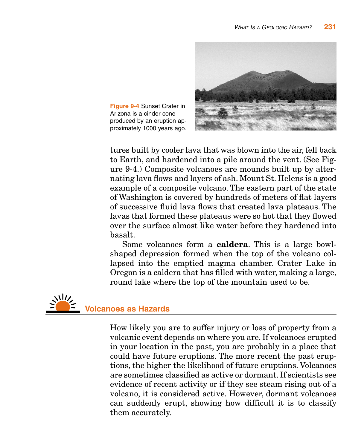

**Figure 9-4** Sunset Crater in Arizona is a cinder cone produced by an eruption approximately 1000 years ago.

tures built by cooler lava that was blown into the air, fell back to Earth, and hardened into a pile around the vent. (See Figure 9-4.) Composite volcanoes are mounds built up by alternating lava flows and layers of ash. Mount St. Helens is a good example of a composite volcano. The eastern part of the state of Washington is covered by hundreds of meters of flat layers of successive fluid lava flows that created lava plateaus. The lavas that formed these plateaus were so hot that they flowed over the surface almost like water before they hardened into basalt.

Some volcanoes form a **caldera**. This is a large bowlshaped depression formed when the top of the volcano collapsed into the emptied magma chamber. Crater Lake in Oregon is a caldera that has filled with water, making a large, round lake where the top of the mountain used to be.



How likely you are to suffer injury or loss of property from a volcanic event depends on where you are. If volcanoes erupted in your location in the past, you are probably in a place that could have future eruptions. The more recent the past eruptions, the higher the likelihood of future eruptions. Volcanoes are sometimes classified as active or dormant. If scientists see evidence of recent activity or if they see steam rising out of a volcano, it is considered active. However, dormant volcanoes can suddenly erupt, showing how difficult it is to classify them accurately.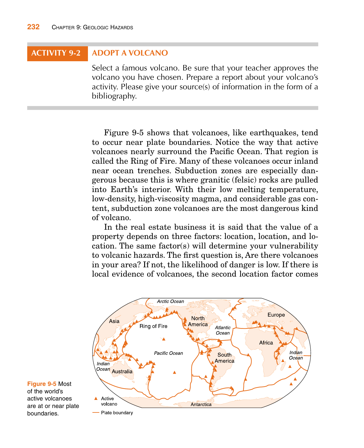# **ACTIVITY 9-2 ADOPT A VOLCANO**

Select a famous volcano. Be sure that your teacher approves the volcano you have chosen. Prepare a report about your volcano's activity. Please give your source(s) of information in the form of a bibliography.

Figure 9-5 shows that volcanoes, like earthquakes, tend to occur near plate boundaries. Notice the way that active volcanoes nearly surround the Pacific Ocean. That region is called the Ring of Fire. Many of these volcanoes occur inland near ocean trenches. Subduction zones are especially dangerous because this is where granitic (felsic) rocks are pulled into Earth's interior. With their low melting temperature, low-density, high-viscosity magma, and considerable gas content, subduction zone volcanoes are the most dangerous kind of volcano.

In the real estate business it is said that the value of a property depends on three factors: location, location, and location. The same factor(s) will determine your vulnerability to volcanic hazards. The first question is, Are there volcanoes in your area? If not, the likelihood of danger is low. If there is local evidence of volcanoes, the second location factor comes



**Figure 9-5** Most of the world's active volcanoes are at or near plate boundaries.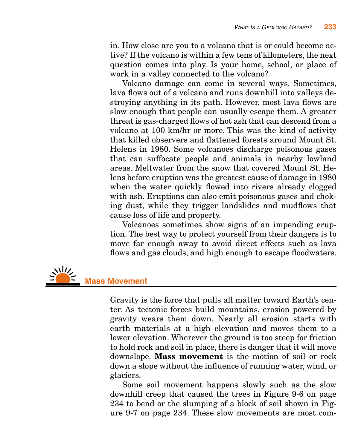in. How close are you to a volcano that is or could become active? If the volcano is within a few tens of kilometers, the next question comes into play. Is your home, school, or place of work in a valley connected to the volcano?

Volcano damage can come in several ways. Sometimes, lava flows out of a volcano and runs downhill into valleys destroying anything in its path. However, most lava flows are slow enough that people can usually escape them. A greater threat is gas-charged flows of hot ash that can descend from a volcano at 100 km/hr or more. This was the kind of activity that killed observers and flattened forests around Mount St. Helens in 1980. Some volcanoes discharge poisonous gases that can suffocate people and animals in nearby lowland areas. Meltwater from the snow that covered Mount St. Helens before eruption was the greatest cause of damage in 1980 when the water quickly flowed into rivers already clogged with ash. Eruptions can also emit poisonous gases and choking dust, while they trigger landslides and mudflows that cause loss of life and property.

Volcanoes sometimes show signs of an impending eruption. The best way to protect yourself from their dangers is to move far enough away to avoid direct effects such as lava flows and gas clouds, and high enough to escape floodwaters.



Gravity is the force that pulls all matter toward Earth's center. As tectonic forces build mountains, erosion powered by gravity wears them down. Nearly all erosion starts with earth materials at a high elevation and moves them to a lower elevation. Wherever the ground is too steep for friction to hold rock and soil in place, there is danger that it will move downslope. **Mass movement** is the motion of soil or rock down a slope without the influence of running water, wind, or glaciers.

Some soil movement happens slowly such as the slow downhill creep that caused the trees in Figure 9-6 on page 234 to bend or the slumping of a block of soil shown in Figure 9-7 on page 234. These slow movements are most com-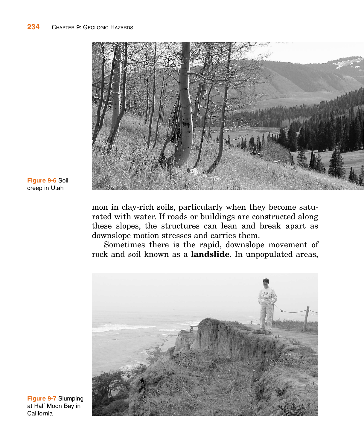

**Figure 9-6** Soil creep in Utah

> mon in clay-rich soils, particularly when they become saturated with water. If roads or buildings are constructed along these slopes, the structures can lean and break apart as downslope motion stresses and carries them.

> Sometimes there is the rapid, downslope movement of rock and soil known as a **landslide**. In unpopulated areas,



**Figure 9-7** Slumping at Half Moon Bay in California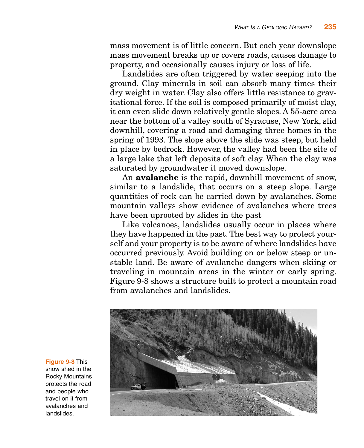mass movement is of little concern. But each year downslope mass movement breaks up or covers roads, causes damage to property, and occasionally causes injury or loss of life.

Landslides are often triggered by water seeping into the ground. Clay minerals in soil can absorb many times their dry weight in water. Clay also offers little resistance to gravitational force. If the soil is composed primarily of moist clay, it can even slide down relatively gentle slopes. A 55-acre area near the bottom of a valley south of Syracuse, New York, slid downhill, covering a road and damaging three homes in the spring of 1993. The slope above the slide was steep, but held in place by bedrock. However, the valley had been the site of a large lake that left deposits of soft clay. When the clay was saturated by groundwater it moved downslope.

An **avalanche** is the rapid, downhill movement of snow, similar to a landslide, that occurs on a steep slope. Large quantities of rock can be carried down by avalanches. Some mountain valleys show evidence of avalanches where trees have been uprooted by slides in the past

Like volcanoes, landslides usually occur in places where they have happened in the past. The best way to protect yourself and your property is to be aware of where landslides have occurred previously. Avoid building on or below steep or unstable land. Be aware of avalanche dangers when skiing or traveling in mountain areas in the winter or early spring. Figure 9-8 shows a structure built to protect a mountain road from avalanches and landslides.



**Figure 9-8** This snow shed in the Rocky Mountains protects the road and people who travel on it from avalanches and landslides.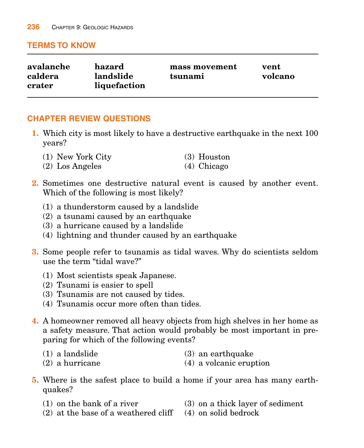#### **TERMS TO KNOW**

| avalanche<br>hazard<br>mass movement<br>landslide<br>caldera<br>tsunami<br>liquefaction<br><b>crater</b> | vent<br>volcano |
|----------------------------------------------------------------------------------------------------------|-----------------|
|----------------------------------------------------------------------------------------------------------|-----------------|

# **CHAPTER REVIEW QUESTIONS**

- **1.** Which city is most likely to have a destructive earthquake in the next 100 years?
	- (1) New York City (3) Houston
	- (2) Los Angeles (4) Chicago
- **2.** Sometimes one destructive natural event is caused by another event. Which of the following is most likely?
	- (1) a thunderstorm caused by a landslide
	- (2) a tsunami caused by an earthquake
	- (3) a hurricane caused by a landslide
	- (4) lightning and thunder caused by an earthquake
- **3.** Some people refer to tsunamis as tidal waves. Why do scientists seldom use the term "tidal wave?"
	- (1) Most scientists speak Japanese.
	- (2) Tsunami is easier to spell
	- (3) Tsunamis are not caused by tides.
	- (4) Tsunamis occur more often than tides.
- **4.** A homeowner removed all heavy objects from high shelves in her home as a safety measure. That action would probably be most important in preparing for which of the following events?
	-
	- (1) a landslide (3) an earthquake
	- (2) a hurricane (4) a volcanic eruption
- 
- **5.** Where is the safest place to build a home if your area has many earthquakes?
	-
	- (1) on the bank of a river (3) on a thick layer of sediment
	- $(2)$  at the base of a weathered cliff  $(4)$  on solid bedrock
-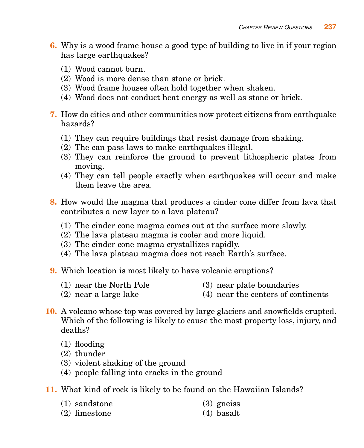- **6.** Why is a wood frame house a good type of building to live in if your region has large earthquakes?
	- (1) Wood cannot burn.
	- (2) Wood is more dense than stone or brick.
	- (3) Wood frame houses often hold together when shaken.
	- (4) Wood does not conduct heat energy as well as stone or brick.
- **7.** How do cities and other communities now protect citizens from earthquake hazards?
	- (1) They can require buildings that resist damage from shaking.
	- (2) The can pass laws to make earthquakes illegal.
	- (3) They can reinforce the ground to prevent lithospheric plates from moving.
	- (4) They can tell people exactly when earthquakes will occur and make them leave the area.
- **8.** How would the magma that produces a cinder cone differ from lava that contributes a new layer to a lava plateau?
	- (1) The cinder cone magma comes out at the surface more slowly.
	- (2) The lava plateau magma is cooler and more liquid.
	- (3) The cinder cone magma crystallizes rapidly.
	- (4) The lava plateau magma does not reach Earth's surface.
- **9.** Which location is most likely to have volcanic eruptions?
	- (1) near the North Pole (3) near plate boundaries
	- (2) near a large lake (4) near the centers of continents
- **10.** A volcano whose top was covered by large glaciers and snowfields erupted. Which of the following is likely to cause the most property loss, injury, and deaths?
	- (1) flooding
	- (2) thunder
	- (3) violent shaking of the ground
	- (4) people falling into cracks in the ground
- **11.** What kind of rock is likely to be found on the Hawaiian Islands?

| $(1)$ sandstone | $(3)$ gness  |
|-----------------|--------------|
| (2) limestone   | $(4)$ basalt |